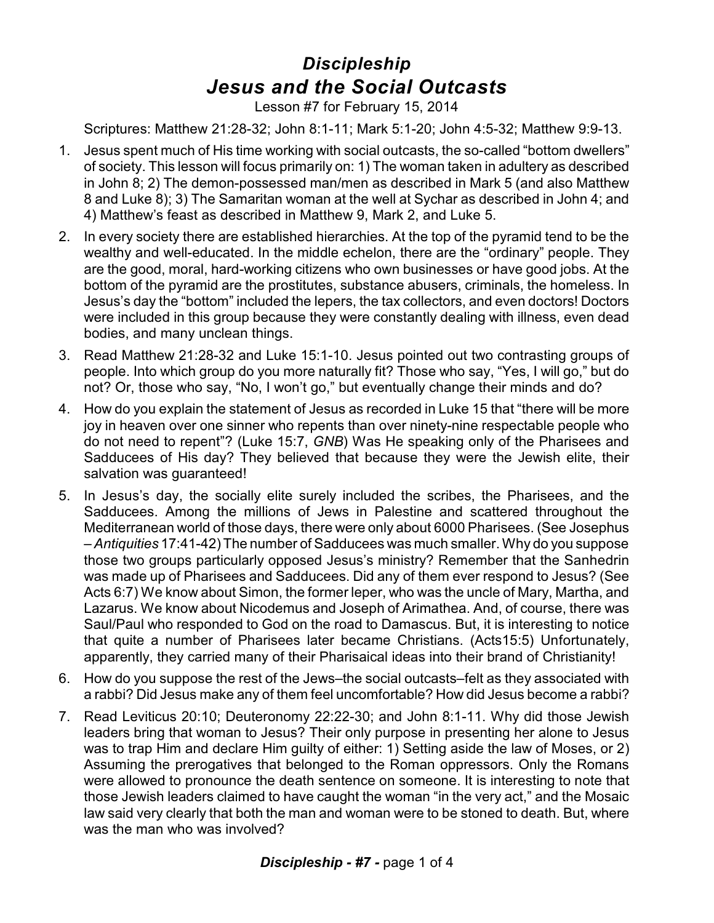## *Discipleship Jesus and the Social Outcasts*

Lesson #7 for February 15, 2014

Scriptures: Matthew 21:28-32; John 8:1-11; Mark 5:1-20; John 4:5-32; Matthew 9:9-13.

- 1. Jesus spent much of His time working with social outcasts, the so-called "bottom dwellers" of society. This lesson will focus primarily on: 1) The woman taken in adultery as described in John 8; 2) The demon-possessed man/men as described in Mark 5 (and also Matthew 8 and Luke 8); 3) The Samaritan woman at the well at Sychar as described in John 4; and 4) Matthew's feast as described in Matthew 9, Mark 2, and Luke 5.
- 2. In every society there are established hierarchies. At the top of the pyramid tend to be the wealthy and well-educated. In the middle echelon, there are the "ordinary" people. They are the good, moral, hard-working citizens who own businesses or have good jobs. At the bottom of the pyramid are the prostitutes, substance abusers, criminals, the homeless. In Jesus's day the "bottom" included the lepers, the tax collectors, and even doctors! Doctors were included in this group because they were constantly dealing with illness, even dead bodies, and many unclean things.
- 3. Read Matthew 21:28-32 and Luke 15:1-10. Jesus pointed out two contrasting groups of people. Into which group do you more naturally fit? Those who say, "Yes, I will go," but do not? Or, those who say, "No, I won't go," but eventually change their minds and do?
- 4. How do you explain the statement of Jesus as recorded in Luke 15 that "there will be more joy in heaven over one sinner who repents than over ninety-nine respectable people who do not need to repent"? (Luke 15:7, *GNB*) Was He speaking only of the Pharisees and Sadducees of His day? They believed that because they were the Jewish elite, their salvation was guaranteed!
- 5. In Jesus's day, the socially elite surely included the scribes, the Pharisees, and the Sadducees. Among the millions of Jews in Palestine and scattered throughout the Mediterranean world of those days, there were only about 6000 Pharisees. (See Josephus – *Antiquities* 17:41-42) The number of Sadducees was much smaller. Why do you suppose those two groups particularly opposed Jesus's ministry? Remember that the Sanhedrin was made up of Pharisees and Sadducees. Did any of them ever respond to Jesus? (See Acts 6:7) We know about Simon, the former leper, who was the uncle of Mary, Martha, and Lazarus. We know about Nicodemus and Joseph of Arimathea. And, of course, there was Saul/Paul who responded to God on the road to Damascus. But, it is interesting to notice that quite a number of Pharisees later became Christians. (Acts15:5) Unfortunately, apparently, they carried many of their Pharisaical ideas into their brand of Christianity!
- 6. How do you suppose the rest of the Jews–the social outcasts–felt as they associated with a rabbi? Did Jesus make any of them feel uncomfortable? How did Jesus become a rabbi?
- 7. Read Leviticus 20:10; Deuteronomy 22:22-30; and John 8:1-11. Why did those Jewish leaders bring that woman to Jesus? Their only purpose in presenting her alone to Jesus was to trap Him and declare Him guilty of either: 1) Setting aside the law of Moses, or 2) Assuming the prerogatives that belonged to the Roman oppressors. Only the Romans were allowed to pronounce the death sentence on someone. It is interesting to note that those Jewish leaders claimed to have caught the woman "in the very act," and the Mosaic law said very clearly that both the man and woman were to be stoned to death. But, where was the man who was involved?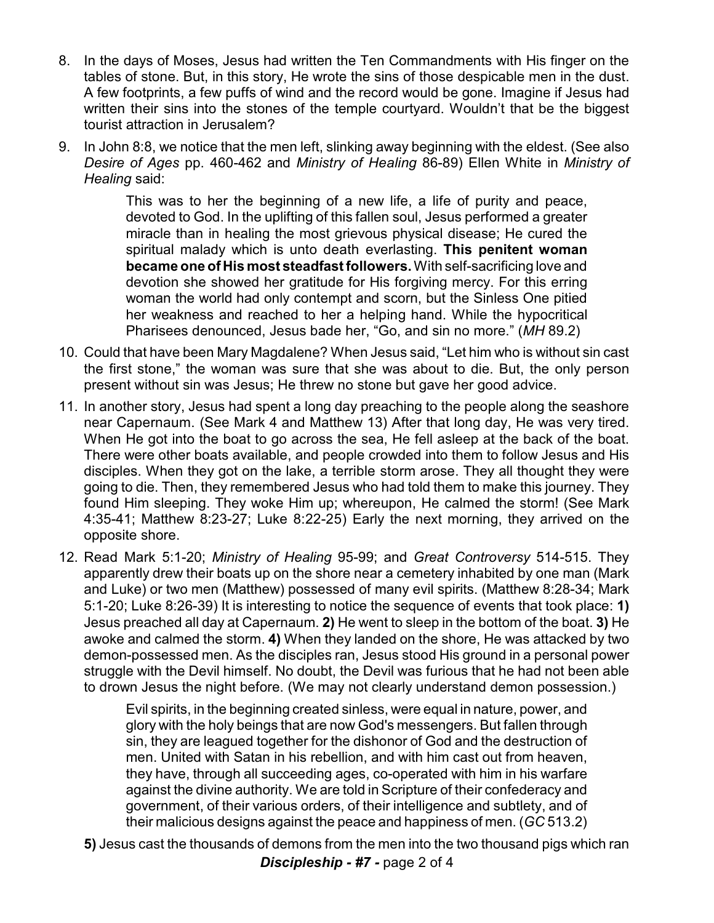- 8. In the days of Moses, Jesus had written the Ten Commandments with His finger on the tables of stone. But, in this story, He wrote the sins of those despicable men in the dust. A few footprints, a few puffs of wind and the record would be gone. Imagine if Jesus had written their sins into the stones of the temple courtyard. Wouldn't that be the biggest tourist attraction in Jerusalem?
- 9. In John 8:8, we notice that the men left, slinking away beginning with the eldest. (See also *Desire of Ages* pp. 460-462 and *Ministry of Healing* 86-89) Ellen White in *Ministry of Healing* said:

This was to her the beginning of a new life, a life of purity and peace, devoted to God. In the uplifting of this fallen soul, Jesus performed a greater miracle than in healing the most grievous physical disease; He cured the spiritual malady which is unto death everlasting. **This penitent woman became one of His most steadfast followers.**With self-sacrificing love and devotion she showed her gratitude for His forgiving mercy. For this erring woman the world had only contempt and scorn, but the Sinless One pitied her weakness and reached to her a helping hand. While the hypocritical Pharisees denounced, Jesus bade her, "Go, and sin no more." (*MH* 89.2)

- 10. Could that have been Mary Magdalene? When Jesus said, "Let him who is without sin cast the first stone," the woman was sure that she was about to die. But, the only person present without sin was Jesus; He threw no stone but gave her good advice.
- 11. In another story, Jesus had spent a long day preaching to the people along the seashore near Capernaum. (See Mark 4 and Matthew 13) After that long day, He was very tired. When He got into the boat to go across the sea, He fell asleep at the back of the boat. There were other boats available, and people crowded into them to follow Jesus and His disciples. When they got on the lake, a terrible storm arose. They all thought they were going to die. Then, they remembered Jesus who had told them to make this journey. They found Him sleeping. They woke Him up; whereupon, He calmed the storm! (See Mark 4:35-41; Matthew 8:23-27; Luke 8:22-25) Early the next morning, they arrived on the opposite shore.
- 12. Read Mark 5:1-20; *Ministry of Healing* 95-99; and *Great Controversy* 514-515. They apparently drew their boats up on the shore near a cemetery inhabited by one man (Mark and Luke) or two men (Matthew) possessed of many evil spirits. (Matthew 8:28-34; Mark 5:1-20; Luke 8:26-39) It is interesting to notice the sequence of events that took place: **1)** Jesus preached all day at Capernaum. **2)** He went to sleep in the bottom of the boat. **3)** He awoke and calmed the storm. **4)** When they landed on the shore, He was attacked by two demon-possessed men. As the disciples ran, Jesus stood His ground in a personal power struggle with the Devil himself. No doubt, the Devil was furious that he had not been able to drown Jesus the night before. (We may not clearly understand demon possession.)

Evil spirits, in the beginning created sinless, were equal in nature, power, and glory with the holy beings that are now God's messengers. But fallen through sin, they are leagued together for the dishonor of God and the destruction of men. United with Satan in his rebellion, and with him cast out from heaven, they have, through all succeeding ages, co-operated with him in his warfare against the divine authority. We are told in Scripture of their confederacy and government, of their various orders, of their intelligence and subtlety, and of their malicious designs against the peace and happiness of men. (*GC* 513.2)

**5)** Jesus cast the thousands of demons from the men into the two thousand pigs which ran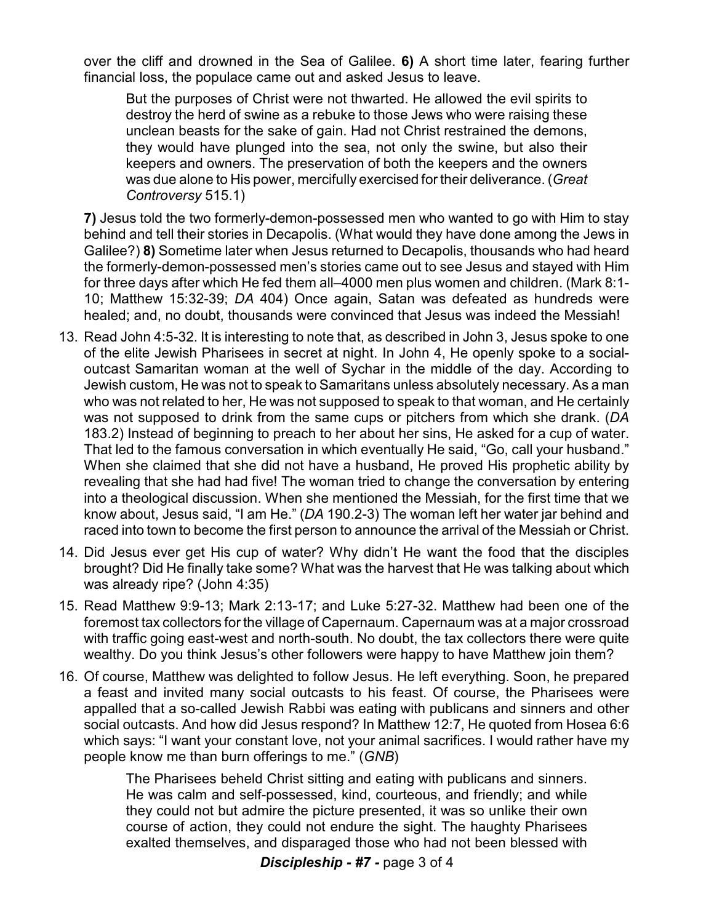over the cliff and drowned in the Sea of Galilee. **6)** A short time later, fearing further financial loss, the populace came out and asked Jesus to leave.

But the purposes of Christ were not thwarted. He allowed the evil spirits to destroy the herd of swine as a rebuke to those Jews who were raising these unclean beasts for the sake of gain. Had not Christ restrained the demons, they would have plunged into the sea, not only the swine, but also their keepers and owners. The preservation of both the keepers and the owners was due alone to His power, mercifully exercised for their deliverance. (*Great Controversy* 515.1)

**7)** Jesus told the two formerly-demon-possessed men who wanted to go with Him to stay behind and tell their stories in Decapolis. (What would they have done among the Jews in Galilee?) **8)** Sometime later when Jesus returned to Decapolis, thousands who had heard the formerly-demon-possessed men's stories came out to see Jesus and stayed with Him for three days after which He fed them all–4000 men plus women and children. (Mark 8:1- 10; Matthew 15:32-39; *DA* 404) Once again, Satan was defeated as hundreds were healed; and, no doubt, thousands were convinced that Jesus was indeed the Messiah!

- 13. Read John 4:5-32. It is interesting to note that, as described in John 3, Jesus spoke to one of the elite Jewish Pharisees in secret at night. In John 4, He openly spoke to a socialoutcast Samaritan woman at the well of Sychar in the middle of the day. According to Jewish custom, He was not to speak to Samaritans unless absolutely necessary. As a man who was not related to her, He was not supposed to speak to that woman, and He certainly was not supposed to drink from the same cups or pitchers from which she drank. (*DA* 183.2) Instead of beginning to preach to her about her sins, He asked for a cup of water. That led to the famous conversation in which eventually He said, "Go, call your husband." When she claimed that she did not have a husband, He proved His prophetic ability by revealing that she had had five! The woman tried to change the conversation by entering into a theological discussion. When she mentioned the Messiah, for the first time that we know about, Jesus said, "I am He." (*DA* 190.2-3) The woman left her water jar behind and raced into town to become the first person to announce the arrival of the Messiah or Christ.
- 14. Did Jesus ever get His cup of water? Why didn't He want the food that the disciples brought? Did He finally take some? What was the harvest that He was talking about which was already ripe? (John 4:35)
- 15. Read Matthew 9:9-13; Mark 2:13-17; and Luke 5:27-32. Matthew had been one of the foremost tax collectors for the village of Capernaum. Capernaum was at a major crossroad with traffic going east-west and north-south. No doubt, the tax collectors there were quite wealthy. Do you think Jesus's other followers were happy to have Matthew join them?
- 16. Of course, Matthew was delighted to follow Jesus. He left everything. Soon, he prepared a feast and invited many social outcasts to his feast. Of course, the Pharisees were appalled that a so-called Jewish Rabbi was eating with publicans and sinners and other social outcasts. And how did Jesus respond? In Matthew 12:7, He quoted from Hosea 6:6 which says: "I want your constant love, not your animal sacrifices. I would rather have my people know me than burn offerings to me." (*GNB*)

The Pharisees beheld Christ sitting and eating with publicans and sinners. He was calm and self-possessed, kind, courteous, and friendly; and while they could not but admire the picture presented, it was so unlike their own course of action, they could not endure the sight. The haughty Pharisees exalted themselves, and disparaged those who had not been blessed with